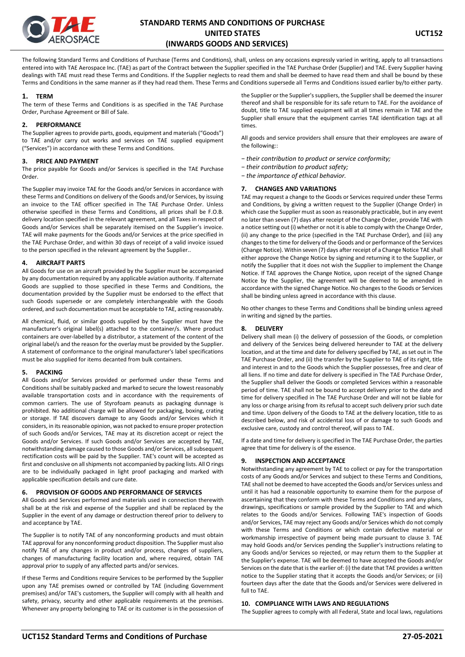

The following Standard Terms and Conditions of Purchase (Terms and Conditions), shall, unless on any occasions expressly varied in writing, apply to all transactions entered into with TAE Aerospace Inc. (TAE) as part of the Contract between the Supplier specified in the TAE Purchase Order (Supplier) and TAE. Every Supplier having dealings with TAE must read these Terms and Conditions. If the Supplier neglects to read them and shall be deemed to have read them and shall be bound by these Terms and Conditions in the same manner as if they had read them. These Terms and Conditions supersede all Terms and Conditions issued earlier by/to either party.

## **1. TERM**

The term of these Terms and Conditions is as specified in the TAE Purchase Order, Purchase Agreement or Bill of Sale.

## **2. PERFORMANCE**

The Supplier agrees to provide parts, goods, equipment and materials ("Goods") to TAE and/or carry out works and services on TAE supplied equipment ("Services") in accordance with these Terms and Conditions.

## **3. PRICE AND PAYMENT**

The price payable for Goods and/or Services is specified in the TAE Purchase Order.

The Supplier may invoice TAE for the Goods and/or Services in accordance with these Terms and Conditions on delivery of the Goods and/or Services, by issuing an invoice to the TAE officer specified in The TAE Purchase Order. Unless otherwise specified in these Terms and Conditions, all prices shall be F.O.B. delivery location specified in the relevant agreement, and all Taxes in respect of Goods and/or Services shall be separately itemised on the Supplier's invoice. TAE will make payments for the Goods and/or Services at the price specified in the TAE Purchase Order, and within 30 days of receipt of a valid invoice issued to the person specified in the relevant agreement by the Supplier..

## **4. AIRCRAFT PARTS**

All Goods for use on an aircraft provided by the Supplier must be accompanied by any documentation required by any applicable aviation authority. If alternate Goods are supplied to those specified in these Terms and Conditions, the documentation provided by the Supplier must be endorsed to the effect that such Goods supersede or are completely interchangeable with the Goods ordered, and such documentation must be acceptable to TAE, acting reasonably.

All chemical, fluid, or similar goods supplied by the Supplier must have the manufacturer's original label(s) attached to the container/s. Where product containers are over-labelled by a distributor, a statement of the content of the original label/s and the reason for the overlay must be provided by the Supplier. A statement of conformance to the original manufacturer's label specifications must be also supplied for items decanted from bulk containers.

#### **5. PACKING**

All Goods and/or Services provided or performed under these Terms and Conditions shall be suitably packed and marked to secure the lowest reasonably available transportation costs and in accordance with the requirements of common carriers. The use of Styrofoam peanuts as packaging dunnage is prohibited. No additional charge will be allowed for packaging, boxing, crating or storage. If TAE discovers damage to any Goods and/or Services which it considers, in its reasonable opinion, was not packed to ensure proper protection of such Goods and/or Services, TAE may at its discretion accept or reject the Goods and/or Services. If such Goods and/or Services are accepted by TAE, notwithstanding damage caused to those Goods and/or Services, all subsequent rectification costs will be paid by the Supplier. TAE's count will be accepted as first and conclusive on all shipments not accompanied by packing lists. All O rings are to be individually packaged in light proof packaging and marked with applicable specification details and cure date.

# **6. PROVISION OF GOODS AND PERFORMANCE OF SERVICES**

All Goods and Services performed and materials used in connection therewith shall be at the risk and expense of the Supplier and shall be replaced by the Supplier in the event of any damage or destruction thereof prior to delivery to and acceptance by TAE.

The Supplier is to notify TAE of any nonconforming products and must obtain TAE approval for any nonconforming product disposition. The Supplier must also notify TAE of any changes in product and/or process, changes of suppliers, changes of manufacturing facility location and, where required, obtain TAE approval prior to supply of any affected parts and/or services.

If these Terms and Conditions require Services to be performed by the Supplier upon any TAE premises owned or controlled by TAE (including Government premises) and/or TAE's customers, the Supplier will comply with all health and safety, privacy, security and other applicable requirements at the premises. Whenever any property belonging to TAE or its customer is in the possession of

the Supplier or the Supplier's suppliers, the Supplier shall be deemed the insurer thereof and shall be responsible for its safe return to TAE. For the avoidance of doubt, title to TAE supplied equipment will at all times remain in TAE and the Supplier shall ensure that the equipment carries TAE identification tags at all times.

All goods and service providers shall ensure that their employees are aware of the following::

- *− their contribution to product or service conformity;*
- *− their contribution to product safety;*
- *− the importance of ethical behavior.*

## **7. CHANGES AND VARIATIONS**

TAE may request a change to the Goods or Services required under these Terms and Conditions, by giving a written request to the Supplier (Change Order) in which case the Supplier must as soon as reasonably practicable, but in any event no later than seven (7) days after receipt of the Change Order, provide TAE with a notice setting out (i) whether or not it is able to comply with the Change Order, (ii) any change to the price (specified in the TAE Purchase Order), and (iii) any changes to the time for delivery of the Goods and or performance of the Services (Change Notice). Within seven (7) days after receipt of a Change Notice TAE shall either approve the Change Notice by signing and returning it to the Supplier, or notify the Supplier that it does not wish the Supplier to implement the Change Notice. If TAE approves the Change Notice, upon receipt of the signed Change Notice by the Supplier, the agreement will be deemed to be amended in accordance with the signed Change Notice. No changes to the Goods or Services shall be binding unless agreed in accordance with this clause.

No other changes to these Terms and Conditions shall be binding unless agreed in writing and signed by the parties.

# **8. DELIVERY**

Delivery shall mean (i) the delivery of possession of the Goods, or completion and delivery of the Services being delivered hereunder to TAE at the delivery location, and at the time and date for delivery specified by TAE, as set out in The TAE Purchase Order, and (ii) the transfer by the Supplier to TAE of its right, title and interest in and to the Goods which the Supplier possesses, free and clear of all liens. If no time and date for delivery is specified in The TAE Purchase Order, the Supplier shall deliver the Goods or completed Services within a reasonable period of time. TAE shall not be bound to accept delivery prior to the date and time for delivery specified in The TAE Purchase Order and will not be liable for any loss or charge arising from its refusal to accept such delivery prior such date and time. Upon delivery of the Goods to TAE at the delivery location, title to as described below, and risk of accidental loss of or damage to such Goods and exclusive care, custody and control thereof, will pass to TAE.

If a date and time for delivery is specified in The TAE Purchase Order, the parties agree that time for delivery is of the essence.

# **9. INSPECTION AND ACCEPTANCE**

Notwithstanding any agreement by TAE to collect or pay for the transportation costs of any Goods and/or Services and subject to these Terms and Conditions, TAE shall not be deemed to have accepted the Goods and/or Services unless and until it has had a reasonable opportunity to examine them for the purpose of ascertaining that they conform with these Terms and Conditions and any plans, drawings, specifications or sample provided by the Supplier to TAE and which relates to the Goods and/or Services. Following TAE's inspection of Goods and/or Services, TAE may reject any Goods and/or Services which do not comply with these Terms and Conditions or which contain defective material or workmanship irrespective of payment being made pursuant to clause 3. TAE may hold Goods and/or Services pending the Supplier's instructions relating to any Goods and/or Services so rejected, or may return them to the Supplier at the Supplier's expense. TAE will be deemed to have accepted the Goods and/or Services on the date that is the earlier of: (i) the date that TAE provides a written notice to the Supplier stating that it accepts the Goods and/or Services; or (ii) fourteen days after the date that the Goods and/or Services were delivered in full to TAE.

## **10. COMPLIANCE WITH LAWS AND REGULATIONS**

The Supplier agrees to comply with all Federal, State and local laws, regulations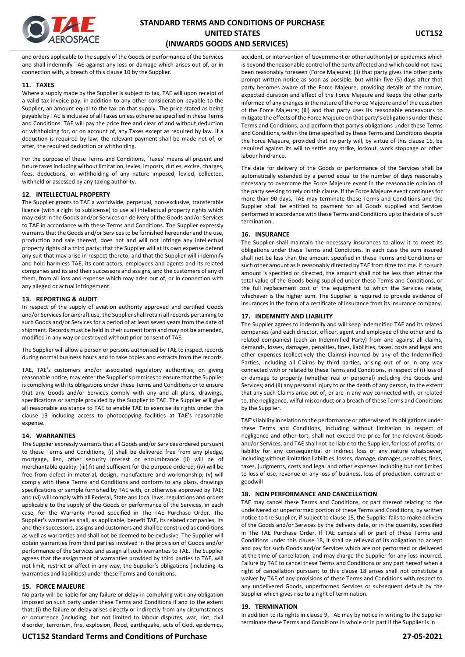

and orders applicable to the supply of the Goods or performance of the Services and shall indemnify TAE against any loss or damage which arises out of, or in connection with, a breach of this clause 10 by the Supplier.

## **11. TAXES**

Where a supply made by the Supplier is subject to tax, TAE will upon receipt of a valid tax invoice pay, in addition to any other consideration payable to the Supplier, an amount equal to the tax on that supply. The price stated as being payable by TAE is inclusive of all Taxes unless otherwise specified in these Terms and Conditions. TAE will pay the price free and clear of and without deduction or withholding for, or on account of, any Taxes except as required by law. If a deduction is required by law, the relevant payment shall be made net of, or after, the required deduction or withholding.

For the purpose of these Terms and Conditions, 'Taxes' means all present and future taxes including without limitation, levies, imposts, duties, excise, charges, fees, deductions, or withholding of any nature imposed, levied, collected, withheld or assessed by any taxing authority.

## **12. INTELLECTUAL PROPERTY**

The Supplier grants to TAE a worldwide, perpetual, non-exclusive, transferable licence (with a right to sublicense) to use all intellectual property rights which may exist in the Goods and/or Services on delivery of the Goods and/or Services to TAE in accordance with these Terms and Conditions. The Supplier expressly warrants that the Goods and/or Services to be furnished hereunder and the use, production and sale thereof, does not and will not infringe any intellectual property rights of a third party; that the Supplier will at its own expense defend any suit that may arise in respect thereto; and that the Supplier will indemnify and hold harmless TAE, its contractors, employees and agents and its related companies and its and their successors and assigns, and the customers of any of them, from all loss and expense which may arise out of, or in connection with any alleged or actual infringement.

#### **13. REPORTING & AUDIT**

In respect of the supply of aviation authority approved and certified Goods and/or Services for aircraft use, the Supplier shall retain all records pertaining to such Goods and/or Services for a period of at least seven years from the date of shipment. Records must be held in their current form and may not be amended, modified in any way or destroyed without prior consent of TAE.

The Supplier will allow a person or persons authorised by TAE to inspect records during normal business hours and to take copies and extracts from the records.

TAE, TAE's customers and/or associated regulatory authorities, on giving reasonable notice, may enter the Supplier's premises to ensure that the Supplier is complying with its obligations under these Terms and Conditions or to ensure that any Goods and/or Services comply with any and all plans, drawings, specifications or sample provided by the Supplier to TAE. The Supplier will give all reasonable assistance to TAE to enable TAE to exercise its rights under this clause 13 including access to photocopying facilities at TAE's reasonable expense.

#### **14. WARRANTIES**

The Supplier expressly warrants that all Goods and/or Services ordered pursuant to these Terms and Conditions, (i) shall be delivered free from any pledge, mortgage, lien, other security interest or encumbrance (ii) will be of merchantable quality; (iii) fit and sufficient for the purpose ordered; (iv) will be free from defect in material, design, manufacture and workmanship; (v) will comply with these Terms and Conditions and conform to any plans, drawings specifications or sample furnished by TAE with, or otherwise approved by TAE; and (vi) will comply with all Federal, State and local laws, regulations and orders applicable to the supply of the Goods or performance of the Services, in each case, for the Warranty Period specified in The TAE Purchase Order. The Supplier's warranties shall, as applicable, benefit TAE, its related companies, its and their successors, assigns and customers and shall be construed as conditions as well as warranties and shall not be deemed to be exclusive. The Supplier will obtain warranties from third parties involved in the provision of Goods and/or performance of the Services and assign all such warranties to TAE. The Supplier agrees that the assignment of warranties provided by third parties to TAE, will not limit, restrict or affect in any way, the Supplier's obligations (including its warranties and liabilities) under these Terms and Conditions.

#### **15. FORCE MAJEURE**

No party will be liable for any failure or delay in complying with any obligation imposed on such party under these Terms and Conditions if and to the extent that: (i) the failure or delay arises directly or indirectly from any circumstances or occurrence (including, but not limited to labour disputes, war, riot, civil disorder, terrorism, fire, explosion, flood, earthquake, acts of God, epidemics,

accident, or intervention of Government or other authority) or epidemics which is beyond the reasonable control of the party affected and which could not have been reasonably foreseen (Force Majeure); (ii) that party gives the other party prompt written notice as soon as possible, but within five (5) days after that party becomes aware of the Force Majeure, providing details of the nature, expected duration and effect of the Force Majeure and keeps the other party informed of any changes in the nature of the Force Majeure and of the cessation of the Force Majeure; (iii) and that party uses its reasonable endeavours to mitigate the effects of the Force Majeure on that party's obligations under these Terms and Conditions; and perform that party's obligations under these Terms and Conditions, within the time specified by these Terms and Conditions despite the Force Majeure, provided that no party will, by virtue of this clause 15, be required against its will to settle any strike, lockout, work stoppage or other labour hindrance.

The date for delivery of the Goods or performance of the Services shall be automatically extended by a period equal to the number of days reasonably necessary to overcome the Force Majeure event in the reasonable opinion of the party seeking to rely on this clause. If the Force Majeure event continues for more than 90 days, TAE may terminate these Terms and Conditions and the Supplier shall be entitled to payment for all Goods supplied and Services performed in accordance with these Terms and Conditions up to the date of such termination..

# **16. INSURANCE**

The Supplier shall maintain the necessary insurances to allow it to meet its obligations under these Terms and Conditions. In each case the sum insured shall not be less than the amount specified in these Terms and Conditions or such other amount as is reasonably directed by TAE from time to time. If no such amount is specified or directed, the amount shall not be less than either the total value of the Goods being supplied under these Terms and Conditions, or the full replacement cost of the equipment to which the Services relate, whichever is the higher sum. The Supplier is required to provide evidence of insurances in the form of a certificate of insurance from its insurance company.

## **17. INDEMNITY AND LIABILITY**

The Supplier agrees to indemnify and will keep indemnified TAE and its related companies (and each director, officer, agent and employee of the other and its related companies) (each an Indemnified Party) from and against all claims, demands, losses, damages, penalties, fines, liabilities, taxes, costs and legal and other expenses (collectively the Claims) incurred by any of the Indemnified Parties, including all Claims by third parties, arising out of or in any way connected with or related to these Terms and Conditions, in respect of (i) loss of or damage to property (whether real or personal) including the Goods and Services; and (ii) any personal injury to or the death of any person, to the extent that any such Claims arise out of, or are in any way connected with, or related to, the negligence, wilful misconduct or a breach of these Terms and Conditions by the Supplier.

TAE's liability in relation to the performance or otherwise of its obligations under these Terms and Conditions, including without limitation in respect of negligence and other tort, shall not exceed the price for the relevant Goods and/or Services, and TAE shall not be liable to the Supplier, for loss of profits, or liability for any consequential or indirect loss of any nature whatsoever, including without limitation liabilities, losses, damage, damages, penalties, fines, taxes, judgments, costs and legal and other expenses including but not limited to loss of use, revenue or any loss of business, loss of production, contract or goodwill

# **18. NON PERFORMANCE AND CANCELLATION**

TAE may cancel these Terms and Conditions, or part thereof relating to the undelivered or unperformed portion of these Terms and Conditions, by written notice to the Supplier, if subject to clause 15, the Supplier fails to make delivery of the Goods and/or Services by the delivery date, or in the quantity, specified in The TAE Purchase Order. If TAE cancels all or part of these Terms and Conditions under this clause 18, it shall be relieved of its obligation to accept and pay for such Goods and/or Services which are not performed or delivered at the time of cancellation, and may charge the Supplier for any loss incurred. Failure by TAE to cancel these Terms and Conditions or any part hereof when a right of cancellation pursuant to this clause 18 arises shall not constitute a waiver by TAE of any provisions of these Terms and Conditions with respect to any undelivered Goods, unperformed Services or subsequent default by the Supplier which gives rise to a right of termination.

#### **19. TERMINATION**

In addition to its rights in clause 9, TAE may by notice in writing to the Supplier terminate these Terms and Conditions in whole or in part if the Supplier is in